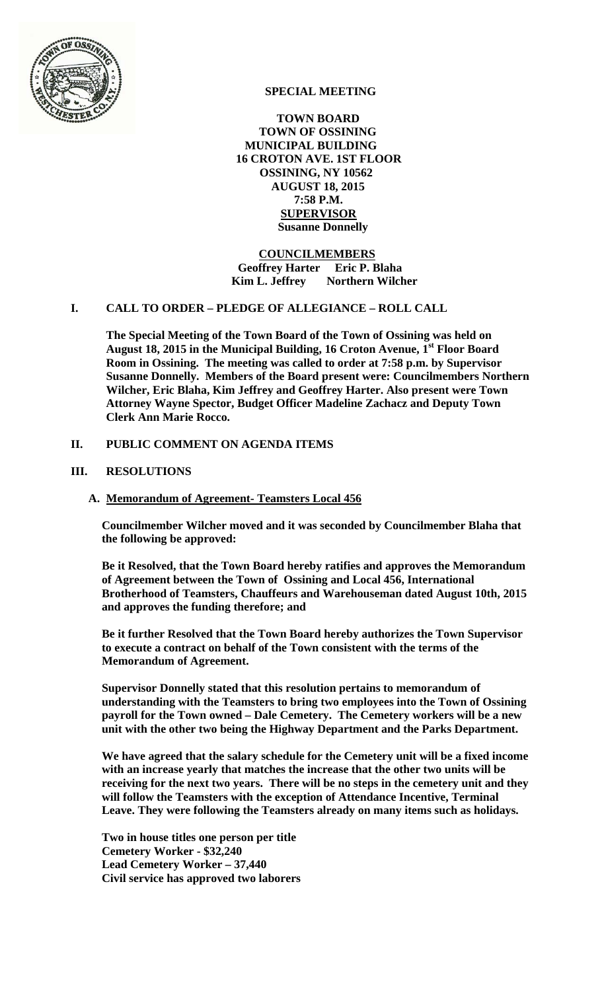

# **SPECIAL MEETING**

 **TOWN BOARD TOWN OF OSSINING MUNICIPAL BUILDING 16 CROTON AVE. 1ST FLOOR OSSINING, NY 10562 AUGUST 18, 2015 7:58 P.M. SUPERVISOR Susanne Donnelly** 

#### **COUNCILMEMBERS Geoffrey Harter Eric P. Blaha Kim L. Jeffrey** Northern Wilcher

#### **I. CALL TO ORDER – PLEDGE OF ALLEGIANCE – ROLL CALL**

**The Special Meeting of the Town Board of the Town of Ossining was held on August 18, 2015 in the Municipal Building, 16 Croton Avenue, 1st Floor Board Room in Ossining. The meeting was called to order at 7:58 p.m. by Supervisor Susanne Donnelly. Members of the Board present were: Councilmembers Northern Wilcher, Eric Blaha, Kim Jeffrey and Geoffrey Harter. Also present were Town Attorney Wayne Spector, Budget Officer Madeline Zachacz and Deputy Town Clerk Ann Marie Rocco.** 

## **II. PUBLIC COMMENT ON AGENDA ITEMS**

#### **III. RESOLUTIONS**

#### **A. Memorandum of Agreement- Teamsters Local 456**

**Councilmember Wilcher moved and it was seconded by Councilmember Blaha that the following be approved:** 

**Be it Resolved, that the Town Board hereby ratifies and approves the Memorandum of Agreement between the Town of Ossining and Local 456, International Brotherhood of Teamsters, Chauffeurs and Warehouseman dated August 10th, 2015 and approves the funding therefore; and** 

**Be it further Resolved that the Town Board hereby authorizes the Town Supervisor to execute a contract on behalf of the Town consistent with the terms of the Memorandum of Agreement.** 

**Supervisor Donnelly stated that this resolution pertains to memorandum of understanding with the Teamsters to bring two employees into the Town of Ossining payroll for the Town owned – Dale Cemetery. The Cemetery workers will be a new unit with the other two being the Highway Department and the Parks Department.** 

**We have agreed that the salary schedule for the Cemetery unit will be a fixed income with an increase yearly that matches the increase that the other two units will be receiving for the next two years. There will be no steps in the cemetery unit and they will follow the Teamsters with the exception of Attendance Incentive, Terminal Leave. They were following the Teamsters already on many items such as holidays.** 

**Two in house titles one person per title Cemetery Worker - \$32,240 Lead Cemetery Worker – 37,440 Civil service has approved two laborers**